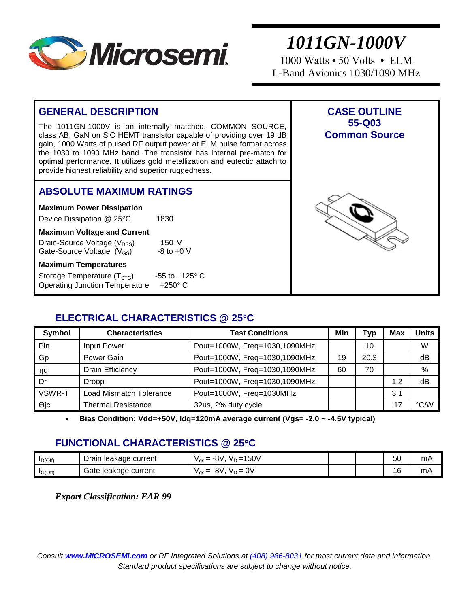

1000 Watts • 50 Volts • ELM L-Band Avionics 1030/1090 MHz

#### **GENERAL DESCRIPTION** The 1011GN-1000V is an internally matched, COMMON SOURCE, class AB, GaN on SiC HEMT transistor capable of providing over 19 dB gain, 1000 Watts of pulsed RF output power at ELM pulse format across the 1030 to 1090 MHz band. The transistor has internal pre-match for optimal performance**.** It utilizes gold metallization and eutectic attach to provide highest reliability and superior ruggedness. **CASE OUTLINE 55-Q03 Common Source ABSOLUTE MAXIMUM RATINGS Maximum Power Dissipation**  Device Dissipation @ 25°C 1830 **Maximum Voltage and Current** Drain-Source Voltage (V<sub>DSS</sub>) 150 V<br>Gate-Source Voltage (V<sub>GS</sub>) 18to +0 V Gate-Source Voltage  $(V_{GS})$ **Maximum Temperatures** Storage Temperature  $(T<sub>STG</sub>)$  -55 to +125 $^{\circ}$  C Operating Junction Temperature  $+250^\circ$  C

## **ELECTRICAL CHARACTERISTICS @ 25C**

| Symbol      | <b>Characteristics</b>    | <b>Test Conditions</b>        |    | Typ  | <b>Max</b> | <b>Units</b> |
|-------------|---------------------------|-------------------------------|----|------|------------|--------------|
| Pin         | <b>Input Power</b>        | Pout=1000W, Freq=1030,1090MHz |    | 10   |            | W            |
| Gp          | Power Gain                | Pout=1000W, Freq=1030,1090MHz | 19 | 20.3 |            | dB           |
| n d         | <b>Drain Efficiency</b>   | Pout=1000W, Freq=1030,1090MHz | 60 | 70   |            | %            |
| l Dr        | <b>Droop</b>              | Pout=1000W, Freq=1030,1090MHz |    |      | 1.2        | dB           |
| VSWR-T      | Load Mismatch Tolerance   | Pout=1000W, Freq=1030MHz      |    |      | 3:1        |              |
| $\Theta$ jc | <b>Thermal Resistance</b> | 32us, 2% duty cycle           |    |      |            | °C/W         |

**Bias Condition: Vdd=+50V, Idq=120mA average current (Vgs= -2.0 ~ -4.5V typical)**

## **FUNCTIONAL CHARACTERISTICS @ 25C**

| $I_{D(Off)}$ | Drain<br>current<br>leakage  | 150V<br>ົ<br>--<br>$V \cap V = V$<br>-8 V.<br>'as —        |  | 50 | mA |
|--------------|------------------------------|------------------------------------------------------------|--|----|----|
| IG(Off)      | : current<br>Gate<br>leakade | $0\lambda$<br>n1<br>—<br>-8V.<br>$V \cap \equiv$<br>' qs — |  | 16 | mA |

*Export Classification: EAR 99*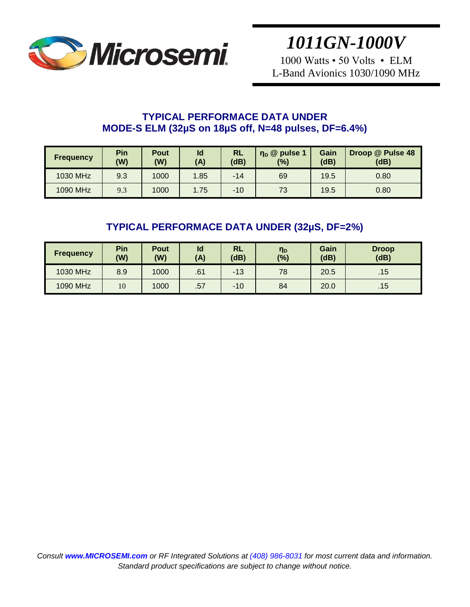

1000 Watts • 50 Volts • ELM L-Band Avionics 1030/1090 MHz

## **TYPICAL PERFORMACE DATA UNDER MODE-S ELM (32µS on 18µS off, N=48 pulses, DF=6.4%)**

| <b>Frequency</b> | Pin<br>(W) | Pout<br>(W) | Id<br>(A) | <b>RL</b><br>(dB) | $\eta_{\rm D}$ @ pulse 1<br>(%) | Gain<br>(dB) | Droop @ Pulse 48<br>(dB) |
|------------------|------------|-------------|-----------|-------------------|---------------------------------|--------------|--------------------------|
| 1030 MHz         | 9.3        | 1000        | 1.85      | $-14$             | 69                              | 19.5         | 0.80                     |
| 1090 MHz         | 9.3        | 1000        | 1.75      | $-10$             | 73                              | 19.5         | 0.80                     |

# **TYPICAL PERFORMACE DATA UNDER (32µS, DF=2%)**

| <b>Frequency</b> | Pin<br>(W) | Pout<br>(W) | ld<br>(A) | RL<br>(dB) | η <sub>D</sub><br>(%) | Gain<br>(dB) | <b>Droop</b><br>(dB) |
|------------------|------------|-------------|-----------|------------|-----------------------|--------------|----------------------|
| 1030 MHz         | 8.9        | 1000        | .61       | $-13$      | 78                    | 20.5         | .15                  |
| 1090 MHz         | 10         | 1000        | .57       | $-10$      | 84                    | 20.0         | .15 <sub>7</sub>     |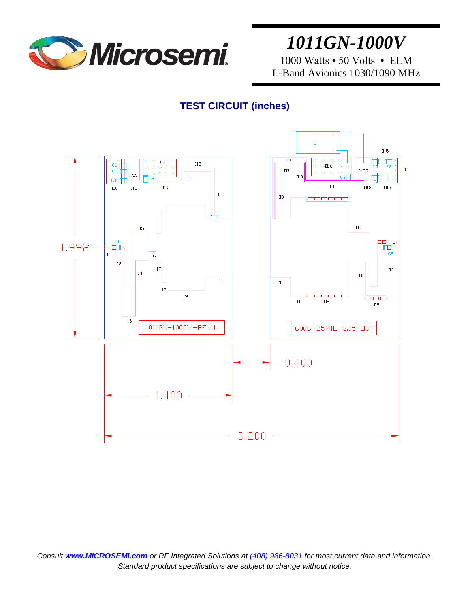

1000 Watts • 50 Volts • ELM L-Band Avionics 1030/1090 MHz

## **TEST CIRCUIT (inches)**

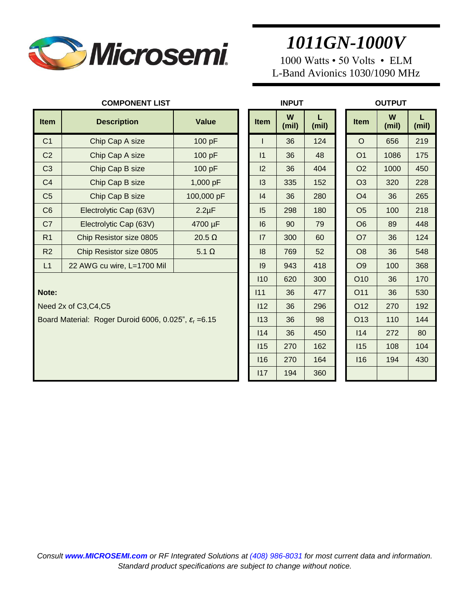

1000 Watts • 50 Volts • ELM L-Band Avionics 1030/1090 MHz

| <b>Item</b>    | <b>Description</b>         | Value         | <b>Item</b>    | W<br>(mil) | (mil) | <b>Item</b>    | W<br>(mil) | (mil) |
|----------------|----------------------------|---------------|----------------|------------|-------|----------------|------------|-------|
| C <sub>1</sub> | Chip Cap A size            | 100 pF        |                | 36         | 124   | $\circ$        | 656        | 219   |
| C <sub>2</sub> | Chip Cap A size            | 100 pF        | 1              | 36         | 48    | O <sub>1</sub> | 1086       | 175   |
| C <sub>3</sub> | Chip Cap B size            | 100 pF        | 2              | 36         | 404   | O <sub>2</sub> | 1000       | 450   |
| C <sub>4</sub> | Chip Cap B size            | 1,000 pF      | $\overline{3}$ | 335        | 152   | O <sub>3</sub> | 320        | 228   |
| C <sub>5</sub> | Chip Cap B size            | 100,000 pF    | 4              | 36         | 280   | O <sub>4</sub> | 36         | 265   |
| C <sub>6</sub> | Electrolytic Cap (63V)     | $2.2 \mu F$   | 15             | 298        | 180   | O <sub>5</sub> | 100        | 218   |
| C7             | Electrolytic Cap (63V)     | 4700 µF       | 16             | 90         | 79    | O <sub>6</sub> | 89         | 448   |
| R <sub>1</sub> | Chip Resistor size 0805    | $20.5 \Omega$ | 7              | 300        | 60    | O <sub>7</sub> | 36         | 124   |
| R <sub>2</sub> | Chip Resistor size 0805    | $5.1 \Omega$  | 8              | 769        | 52    | O <sub>8</sub> | 36         | 548   |
| L1             | 22 AWG cu wire, L=1700 Mil |               | 9              | 943        | 418   | O <sub>9</sub> | 100        | 368   |
|                |                            |               |                |            |       |                |            |       |

|                | <b>COMPONENT LIST</b>                                           |               |             | <b>INPUT</b> |            | <b>OUTPUT</b> |                 |            |            |
|----------------|-----------------------------------------------------------------|---------------|-------------|--------------|------------|---------------|-----------------|------------|------------|
| Item           | <b>Description</b>                                              | <b>Value</b>  | <b>Item</b> | W<br>(mil)   | L<br>(mil) |               | <b>Item</b>     | W<br>(mil) | L.<br>(mil |
| C <sub>1</sub> | Chip Cap A size                                                 | 100 pF        | I           | 36           | 124        |               | $\circ$         | 656        | 219        |
| C <sub>2</sub> | Chip Cap A size                                                 | 100 pF        | 1           | 36           | 48         |               | O <sub>1</sub>  | 1086       | 175        |
| C <sub>3</sub> | Chip Cap B size                                                 | 100 pF        | 12          | 36           | 404        |               | O <sub>2</sub>  | 1000       | 450        |
| C <sub>4</sub> | Chip Cap B size                                                 | 1,000 pF      | 13          | 335          | 152        |               | O <sub>3</sub>  | 320        | 228        |
| C <sub>5</sub> | Chip Cap B size                                                 | 100,000 pF    | 4           | 36           | 280        |               | O <sub>4</sub>  | 36         | 265        |
| C <sub>6</sub> | Electrolytic Cap (63V)                                          | $2.2 \mu F$   | 15          | 298          | 180        |               | O <sub>5</sub>  | 100        | 218        |
| C7             | Electrolytic Cap (63V)                                          | 4700 µF       | 16          | 90           | 79         |               | O <sub>6</sub>  | 89         | 448        |
| R <sub>1</sub> | Chip Resistor size 0805                                         | 20.5 $\Omega$ | 7           | 300          | 60         |               | O <sub>7</sub>  | 36         | 124        |
| R <sub>2</sub> | Chip Resistor size 0805                                         | $5.1 \Omega$  | 18          | 769          | 52         |               | O <sub>8</sub>  | 36         | 548        |
| L1             | 22 AWG cu wire, L=1700 Mil                                      |               | 9           | 943          | 418        |               | O <sub>9</sub>  | 100        | 368        |
|                |                                                                 |               | 110         | 620          | 300        |               | O <sub>10</sub> | 36         | 170        |
| Note:          |                                                                 |               | 111         | 36           | 477        |               | O11             | 36         | 530        |
|                | Need 2x of C3, C4, C5                                           |               | 112         | 36           | 296        |               | O12             | 270        | 192        |
|                | Board Material: Roger Duroid 6006, 0.025", $\epsilon_{r}$ =6.15 |               | 113         | 36           | 98         |               | O <sub>13</sub> | 110        | 144        |
|                |                                                                 |               | 114         | 36           | 450        |               | 114             | 272        | 80         |
|                |                                                                 |               | 115         | 270          | 162        |               | 115             | 108        | 104        |
|                |                                                                 |               | 116         | 270          | 164        |               | 116             | 194        | 430        |
|                |                                                                 |               | 117         | 194          | 360        |               |                 |            |            |
|                |                                                                 |               |             |              |            |               |                 |            |            |

|     | <b>INPUT</b> |            | OUTPUT          |            |            |  |  |  |  |  |
|-----|--------------|------------|-----------------|------------|------------|--|--|--|--|--|
| tem | W<br>(mil)   | L<br>(mil) | <b>Item</b>     | W<br>(mil) | L<br>(mil) |  |  |  |  |  |
| I   | 36           | 124        | $\circ$         | 656        | 219        |  |  |  |  |  |
| 1   | 36           | 48         | O <sub>1</sub>  | 1086       | 175        |  |  |  |  |  |
| 12  | 36           | 404        | O <sub>2</sub>  | 1000       | 450        |  |  |  |  |  |
| 13  | 335          | 152        | O <sub>3</sub>  | 320        | 228        |  |  |  |  |  |
| 4   | 36           | 280        | O <sub>4</sub>  | 36         | 265        |  |  |  |  |  |
| 15  | 298          | 180        | O <sub>5</sub>  | 100        | 218        |  |  |  |  |  |
| 16  | 90           | 79         | O <sub>6</sub>  | 89         | 448        |  |  |  |  |  |
| 7   | 300          | 60         | O <sub>7</sub>  | 36         | 124        |  |  |  |  |  |
| 18  | 769          | 52         | O <sub>8</sub>  | 36         | 548        |  |  |  |  |  |
| 19  | 943          | 418        | O <sub>9</sub>  | 100        | 368        |  |  |  |  |  |
| 110 | 620          | 300        | O10             | 36         | 170        |  |  |  |  |  |
| 11  | 36           | 477        | O11             | 36         | 530        |  |  |  |  |  |
| 112 | 36           | 296        | O12             | 270        | 192        |  |  |  |  |  |
| 113 | 36           | 98         | O <sub>13</sub> | 110        | 144        |  |  |  |  |  |
| 114 | 36           | 450        | 114             | 272        | 80         |  |  |  |  |  |
| 115 | 270          | 162        | <b>115</b>      | 108        | 104        |  |  |  |  |  |
| 116 | 270          | 164        | 116             | 194        | 430        |  |  |  |  |  |
| 117 | 194          | 360        |                 |            |            |  |  |  |  |  |